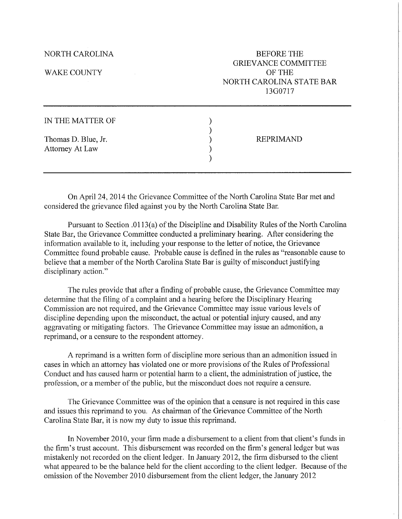NORTH CAROLINA

WAKE COUNTY

BEFORE THE GRIEV ANCE COMMITTEE OF THE NORTH CAROLINA STATE BAR 13G0717

| IN THE MATTER OF                       |                  |
|----------------------------------------|------------------|
| Thomas D. Blue, Jr.<br>Attorney At Law | <b>REPRIMAND</b> |
|                                        |                  |

On April 24, 2014 the Grievance Committee of the North Carolina State Bar met and considered the grievance filed against you by the North Carolina State Bar.

Pursuant to Section .0113(a) of the Discipline and Disability Rules of the North Carolina State Bar, the Grievance Committee conducted a preliminary hearing. After considering the information available to it, including your response to the letter of notice, the Grievance Committee found probable cause. Probable cause is defined in the rules as "reasonable cause to believe that a member of the North Carolina State Bar is guilty of misconduct justifying disciplinary action."

The rules provide that after a finding of probable cause, the Grievance Committee may determine that the filing of a complaint and a hearing before the Disciplinary Hearing Commission are not required, and the Grievance Committee may issue various levels of discipline depending upon the misconduct, the actual or potential injury caused, and any aggravating or mitigating factors. The Grievance Committee may issue an admonition, a reprimand, or a censure to the respondent attorney.

A reprimand is a written form of discipline more serious than an admonition issued in cases in which an attorney has violated one or more provisions of the Rules of Professional Conduct and has caused harm or potential harm to a client, the administration of justice, the profession, or a member of the public, but the misconduct does not require a censure.

The Grievance Committee was of the opinion that a censure is not required in this case and issues this reprimand to you. As chairman of the Grievance Committee of the North Carolina State Bar, it is now my duty to issue this reprimand.

In November 2010, your firm made a disbursement to a client from that client's funds in the firm's trust account. This disbursement was recorded on the firm's general ledger but was mistakenly not recorded on the client ledger. In January 2012, the firm disbursed to the client what appeared to be the balance held for the client according to the client ledger. Because of the omission of the November 2010 disbursement from the client ledger, the January 2012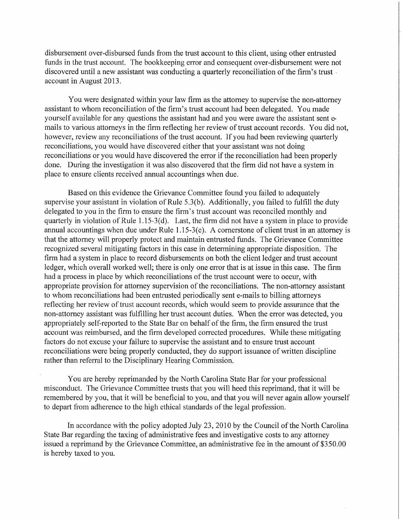disbursement over-disbursed funds from the trust account to this client, using other entrusted funds in the trust account. The bookkeeping error and consequent over-disbursement were not discovered until a new assistant was conducting a quarterly reconciliation of the firm's trust account in August 2013.

You were designated within your law firm as the attorney to supervise the non-attorney assistant to whom reconciliation of the firm's trust account had been delegated. You made yourself available for any questions the assistant had and you were aware the assistant sent emails to various attorneys in the firm reflecting her review of trust account records. You did not, however, review any reconciliations of the trust account. If you had been reviewing quarterly reconciliations, you would have discovered either that your assistant was not doing reconciliations or you would have discovered the error if the reconciliation had been properly done. During the investigation it was also discovered that the firm did not have a system in place to ensure clients received annual accountings when due.

Based on this evidence the Grievance Committee found you failed to adequately supervise your assistant in violation of Rule 5.3(b). Additionally, you failed to fulfill the duty delegated to you in the firm to ensure the firm's trust account was reconciled monthly and quarterly in violation of Rule 1.15-3(d). Last, the firm did not have a system in place to provide annual accountings when due under Rule  $1.15-3(e)$ . A cornerstone of client trust in an attorney is that the attorney will properly protect and maintain entrusted funds. The Grievance Committee recognized several mitigating factors in this case in determining appropriate disposition. The firm had a system in place to record disbursements on both the client ledger and trust account ledger, which overall worked well; there is only one error that is at issue in this case. The firm had a process in place by which reconciliations of the trust account were to occur, with appropriate provision for attorney supervision of the reconciliations. The non-attorney assistant to whom reconciliations had been entrusted periodically sent e-mails to billing attorneys reflecting her review of trust account records, which would seem to provide assurance that the non-attorney assistant was fulfilling her trust account duties. When the error was detected, you appropriately self-reported to the State Bar on behalf of the firm, the firm ensured the trust account was reimbursed, and the firm developed corrected procedures. While these mitigating factors do not excuse your failure to supervise the assistant and to ensure trust account reconciliations were being properly conducted, they do support issuance of written discipline rather than referral to the Disciplinary Hearing Commission.

You are hereby reprimanded by the North Carolina State Bar for your professional misconduct. The Grievance Committee trusts that you will heed this reprimand, that it will be remembered by you, that it will be beneficial to you, and that you will never again allow yourself to depart from adherence to the high ethical standards of the legal profession.

In accordance with the policy adopted July 23, 2010 by the Council of the North Carolina State Bar regarding the taxing of administrative fees and investigative costs to any attorney issued a reprimand by the Grievance Committee, an administrative fee in the amount of \$350.00 is hereby taxed to you.